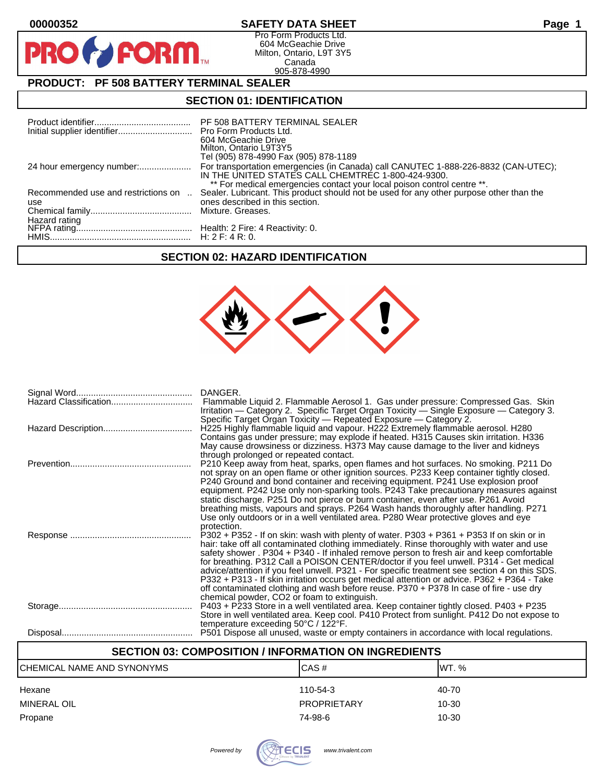$\bullet$ 

PR

### **00000352 SAFETY DATA SHEET Page 1**

Pro Form Products Ltd. 604 McGeachie Drive Milton, Ontario, L9T 3Y5 Canada 905-878-4990

# **PRODUCT: PF 508 BATTERY TERMINAL SEALER**

**FORM** 

### **SECTION 01: IDENTIFICATION**

| Initial supplier identifier Pro Form Products Ltd. | PF 508 BATTERY TERMINAL SEALER<br>604 McGeachie Drive<br>Milton, Ontario L9T3Y5<br>Tel (905) 878-4990 Fax (905) 878-1189                                           |
|----------------------------------------------------|--------------------------------------------------------------------------------------------------------------------------------------------------------------------|
| 24 hour emergency number:                          | For transportation emergencies (in Canada) call CANUTEC 1-888-226-8832 (CAN-UTEC);<br>IN THE UNITED STATES CALL CHEMTREC 1-800-424-9300.                           |
| Recommended use and restrictions on                | ** For medical emergencies contact your local poison control centre **.<br>Sealer. Lubricant. This product should not be used for any other purpose other than the |
| use                                                | ones described in this section.                                                                                                                                    |
|                                                    |                                                                                                                                                                    |
|                                                    |                                                                                                                                                                    |
|                                                    |                                                                                                                                                                    |

#### **SECTION 02: HAZARD IDENTIFICATION**



| Hazard Classification | DANGER.<br>Flammable Liquid 2. Flammable Aerosol 1. Gas under pressure: Compressed Gas. Skin<br>Irritation — Category 2. Specific Target Organ Toxicity — Single Exposure — Category 3.                                                                                                                                                                                                                                                                                                                                                                                                                                                                              |
|-----------------------|----------------------------------------------------------------------------------------------------------------------------------------------------------------------------------------------------------------------------------------------------------------------------------------------------------------------------------------------------------------------------------------------------------------------------------------------------------------------------------------------------------------------------------------------------------------------------------------------------------------------------------------------------------------------|
|                       | Specific Target Organ Toxicity — Repeated Exposure — Category 2.<br>H225 Highly flammable liquid and vapour. H222 Extremely flammable aerosol. H280<br>Contains gas under pressure; may explode if heated. H315 Causes skin irritation. H336<br>May cause drowsiness or dizziness. H373 May cause damage to the liver and kidneys                                                                                                                                                                                                                                                                                                                                    |
|                       | through prolonged or repeated contact.<br>P210 Keep away from heat, sparks, open flames and hot surfaces. No smoking. P211 Do<br>not spray on an open flame or other ignition sources. P233 Keep container tightly closed.<br>P240 Ground and bond container and receiving equipment. P241 Use explosion proof<br>equipment. P242 Use only non-sparking tools. P243 Take precautionary measures against<br>static discharge. P251 Do not pierce or burn container, even after use. P261 Avoid                                                                                                                                                                        |
|                       | breathing mists, vapours and sprays. P264 Wash hands thoroughly after handling. P271<br>Use only outdoors or in a well ventilated area. P280 Wear protective gloves and eye<br>protection.                                                                                                                                                                                                                                                                                                                                                                                                                                                                           |
|                       | P302 + P352 - If on skin: wash with plenty of water. P303 + P361 + P353 If on skin or in<br>hair: take off all contaminated clothing immediately. Rinse thoroughly with water and use<br>safety shower. P304 + P340 - If inhaled remove person to fresh air and keep comfortable<br>for breathing. P312 Call a POISON CENTER/doctor if you feel unwell. P314 - Get medical<br>advice/attention if you feel unwell. P321 - For specific treatment see section 4 on this SDS.<br>P332 + P313 - If skin irritation occurs get medical attention or advice. P362 + P364 - Take<br>off contaminated clothing and wash before reuse. P370 + P378 In case of fire - use dry |
|                       | chemical powder, CO2 or foam to extinguish.<br>P403 + P233 Store in a well ventilated area. Keep container tightly closed. P403 + P235<br>Store in well ventilated area. Keep cool. P410 Protect from sunlight. P412 Do not expose to<br>temperature exceeding 50°C / 122°F.                                                                                                                                                                                                                                                                                                                                                                                         |
|                       | P501 Dispose all unused, waste or empty containers in accordance with local regulations.                                                                                                                                                                                                                                                                                                                                                                                                                                                                                                                                                                             |

### **SECTION 03: COMPOSITION / INFORMATION ON INGREDIENTS**

| ICHEMICAL NAME AND SYNONYMS | CAS#               | IWT. %    |
|-----------------------------|--------------------|-----------|
| Hexane                      | 110-54-3           | 40-70     |
| MINERAL OIL                 | <b>PROPRIETARY</b> | $10 - 30$ |
| Propane                     | 74-98-6            | $10 - 30$ |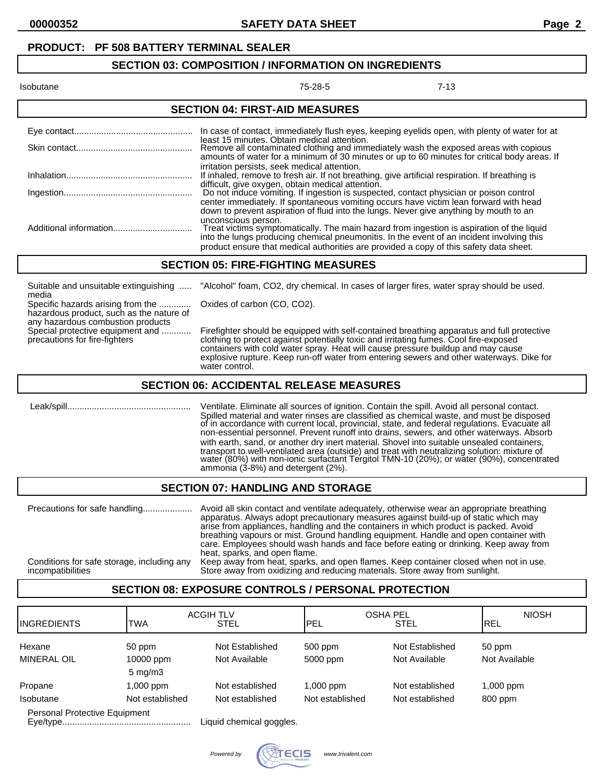**00000352 SAFETY DATA SHEET Page 2**

#### **PRODUCT: PF 508 BATTERY TERMINAL SEALER**

#### **SECTION 03: COMPOSITION / INFORMATION ON INGREDIENTS**

#### Isobutane 75-28-5 7-13 **SECTION 04: FIRST-AID MEASURES** Eye contact................................................ In case of contact, immediately flush eyes, keeping eyelids open, with plenty of water for at least 15 minutes. Obtain medical attention. Skin contact............................................... Remove all contaminated clothing and immediately wash the exposed areas with copious amounts of water for a minimum of 30 minutes or up to 60 minutes for critical body areas. If irritation persists, seek medical attention. Inhalation................................................... If inhaled, remove to fresh air. If not breathing, give artificial respiration. If breathing is difficult, give oxygen, obtain medical attention. Ingestion.................................................... Do not induce vomiting. If ingestion is suspected, contact physician or poison control center immediately. If spontaneous vomiting occurs have victim lean forward with head down to prevent aspiration of fluid into the lungs. Never give anything by mouth to an unconscious person. Additional information................................ Treat victims symptomatically. The main hazard from ingestion is aspiration of the liquid into the lungs producing chemical pneumonitis. In the event of an incident involving this

#### **SECTION 05: FIRE-FIGHTING MEASURES**

media Specific hazards arising from the ............. Oxides of carbon (CO, CO2). hazardous product, such as the nature of any hazardous combustion products<br>Special protective equipment and ............

Suitable and unsuitable extinguishing ..... "Alcohol" foam, CO2, dry chemical. In cases of larger fires, water spray should be used.

product ensure that medical authorities are provided a copy of this safety data sheet.

Special protective equipment and ............ Firefighter should be equipped with self-contained breathing apparatus and full protective<br>precautions for fire-fighters contentially toxic and irritating fumes. Cool fire-expo clothing to protect against potentially toxic and irritating fumes. Cool fire-exposed containers with cold water spray. Heat will cause pressure buildup and may cause explosive rupture. Keep run-off water from entering sewers and other waterways. Dike for water control.

#### **SECTION 06: ACCIDENTAL RELEASE MEASURES**

 Leak/spill.................................................. Ventilate. Eliminate all sources of ignition. Contain the spill. Avoid all personal contact. Spilled material and water rinses are classified as chemical waste, and must be disposed of in accordance with current local, provincial, state, and federal regulations. Evacuate all non-essential personnel. Prevent runoff into drains, sewers, and other waterways. Absorb with earth, sand, or another dry inert material. Shovel into suitable unsealed containers, transport to well-ventilated area (outside) and treat with neutralizing solution: mixture of water (80%) with non-ionic surfactant Tergitol TMN-10 (20%); or water (90%), concentrated ammonia (3-8%) and detergent (2%).

#### **SECTION 07: HANDLING AND STORAGE**

Precautions for safe handling.................... Avoid all skin contact and ventilate adequately, otherwise wear an appropriate breathing apparatus. Always adopt precautionary measures against build-up of static which may arise from appliances, handling and the containers in which product is packed. Avoid breathing vapours or mist. Ground handling equipment. Handle and open container with care. Employees should wash hands and face before eating or drinking. Keep away from heat, sparks, and open flame. Conditions for safe storage, including any Keep away from heat, sparks, and open flames. Keep container closed when not in use.<br>incompatibilities store store away from oxidizing and reducing materials. Store away from sunl Store away from oxidizing and reducing materials. Store away from sunlight.

### **SECTION 08: EXPOSURE CONTROLS / PERSONAL PROTECTION**

| <b>IINGREDIENTS</b>           | TWA                | <b>ACGIH TLV</b><br>STEL | PEL             | <b>OSHA PEL</b><br><b>STEL</b> | <b>NIOSH</b><br>IREL |
|-------------------------------|--------------------|--------------------------|-----------------|--------------------------------|----------------------|
| Hexane                        | 50 ppm             | Not Established          | 500 ppm         | Not Established                | 50 ppm               |
| <b>MINERAL OIL</b>            | 10000 ppm          | Not Available            | 5000 ppm        | Not Available                  | Not Available        |
|                               | $5 \text{ mg/m}$ 3 |                          |                 |                                |                      |
| Propane                       | mg 000, l          | Not established          | 1,000 ppm       | Not established                | $1,000$ ppm          |
| Isobutane                     | Not established    | Not established          | Not established | Not established                | 800 ppm              |
| Personal Protective Equipment |                    | Liquid chemical goggles. |                 |                                |                      |

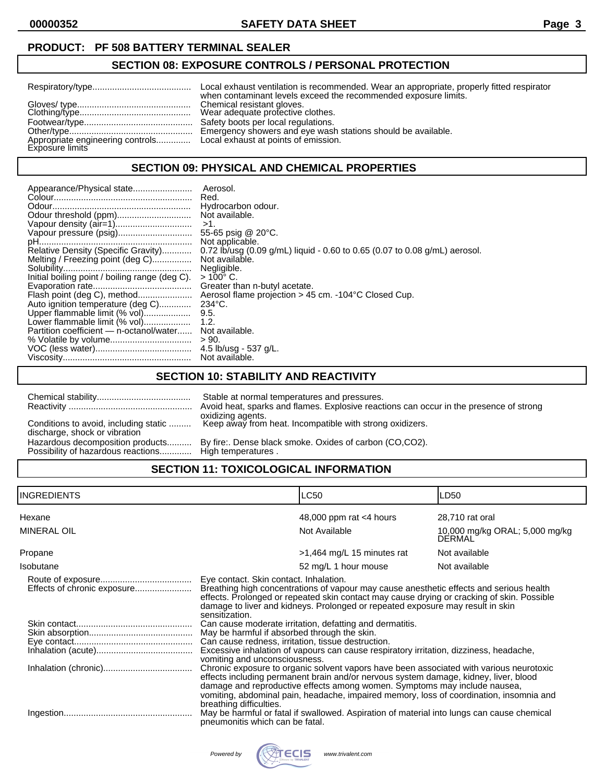**00000352 SAFETY DATA SHEET Page 3**

#### **PRODUCT: PF 508 BATTERY TERMINAL SEALER**

### **SECTION 08: EXPOSURE CONTROLS / PERSONAL PROTECTION**

| when contaminant levels exceed the recommended exposure limits. |
|-----------------------------------------------------------------|
|                                                                 |
| Emergency showers and eye wash stations should be available.    |

### **SECTION 09: PHYSICAL AND CHEMICAL PROPERTIES**

### **SECTION 10: STABILITY AND REACTIVITY**

|                                       | Stable at normal temperatures and pressures.                                           |
|---------------------------------------|----------------------------------------------------------------------------------------|
|                                       | Avoid heat, sparks and flames. Explosive reactions can occur in the presence of strong |
| Conditions to avoid, including static | oxidizing agents.                                                                      |
| discharge, shock or vibration         | Keep away from heat. Incompatible with strong oxidizers.                               |
| Hazardous decomposition products      | By fire: Dense black smoke. Oxides of carbon (CO,CO2).                                 |
| Possibility of hazardous reactions    | High temperatures.                                                                     |

# **SECTION 11: TOXICOLOGICAL INFORMATION**

| <b>INGREDIENTS</b> |                                                                                                                                                                                                                                                                                                                                                                                    | LC50                                                                                                                                                                                                                                                                    | LD50                                            |
|--------------------|------------------------------------------------------------------------------------------------------------------------------------------------------------------------------------------------------------------------------------------------------------------------------------------------------------------------------------------------------------------------------------|-------------------------------------------------------------------------------------------------------------------------------------------------------------------------------------------------------------------------------------------------------------------------|-------------------------------------------------|
| Hexane             |                                                                                                                                                                                                                                                                                                                                                                                    | 48,000 ppm rat $<$ 4 hours                                                                                                                                                                                                                                              | 28,710 rat oral                                 |
| <b>MINERAL OIL</b> |                                                                                                                                                                                                                                                                                                                                                                                    | Not Available                                                                                                                                                                                                                                                           | 10,000 mg/kg ORAL; 5,000 mg/kg<br><b>DERMAL</b> |
| Propane            |                                                                                                                                                                                                                                                                                                                                                                                    | $>1,464$ mg/L 15 minutes rat                                                                                                                                                                                                                                            | Not available                                   |
| Isobutane          |                                                                                                                                                                                                                                                                                                                                                                                    | 52 mg/L 1 hour mouse                                                                                                                                                                                                                                                    | Not available                                   |
|                    | Eye contact. Skin contact. Inhalation.<br>sensitization.                                                                                                                                                                                                                                                                                                                           | Breathing high concentrations of vapour may cause anesthetic effects and serious health<br>effects. Prolonged or repeated skin contact may cause drying or cracking of skin. Possible<br>damage to liver and kidneys. Prolonged or repeated exposure may result in skin |                                                 |
|                    | Can cause moderate irritation, defatting and dermatitis.<br>May be harmful if absorbed through the skin.<br>Can cause redness, irritation, tissue destruction.                                                                                                                                                                                                                     |                                                                                                                                                                                                                                                                         |                                                 |
|                    |                                                                                                                                                                                                                                                                                                                                                                                    |                                                                                                                                                                                                                                                                         |                                                 |
|                    | vomiting and unconsciousness.                                                                                                                                                                                                                                                                                                                                                      | Excessive inhalation of vapours can cause respiratory irritation, dizziness, headache,                                                                                                                                                                                  |                                                 |
|                    | Chronic exposure to organic solvent vapors have been associated with various neurotoxic<br>effects including permanent brain and/or nervous system damage, kidney, liver, blood<br>damage and reproductive effects among women. Symptoms may include nausea,<br>vomiting, abdominal pain, headache, impaired memory, loss of coordination, insomnia and<br>breathing difficulties. |                                                                                                                                                                                                                                                                         |                                                 |
|                    | pneumonitis which can be fatal.                                                                                                                                                                                                                                                                                                                                                    | May be harmful or fatal if swallowed. Aspiration of material into lungs can cause chemical                                                                                                                                                                              |                                                 |